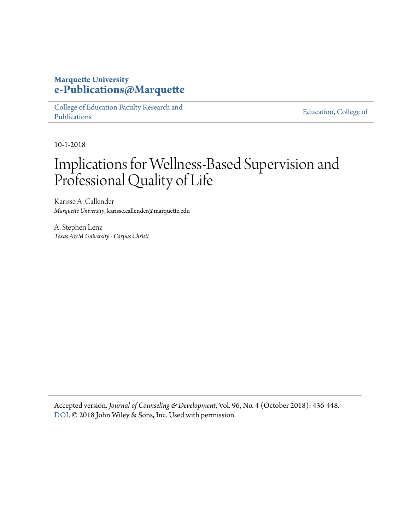### **Marquette University [e-Publications@Marquette](https://epublications.marquette.edu/)**

[College of Education Faculty Research and](https://epublications.marquette.edu/edu_fac) [Publications](https://epublications.marquette.edu/edu_fac)

[Education, College of](https://epublications.marquette.edu/education)

10-1-2018

## Implications for Wellness‐Based Supervision and Professional Quality of Life

Karisse A. Callender *Marquette University*, karisse.callender@marquette.edu

A. Stephen Lenz *Texas A&M University - Corpus Christi*

Accepted version*. Journal of Counseling & Development*, Vol. 96, No. 4 (October 2018): 436-448. [DOI](https://doi.org/10.1002/jcad.12225). © 2018 John Wiley & Sons, Inc. Used with permission.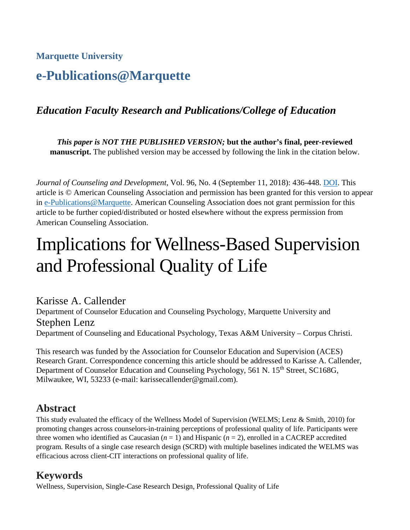**Marquette University**

## **e-Publications@Marquette**

## *Education Faculty Research and Publications/College of Education*

*This paper is NOT THE PUBLISHED VERSION;* **but the author's final, peer-reviewed manuscript.** The published version may be accessed by following the link in the citation below.

*Journal of Counseling and Development*, Vol. 96, No. 4 (September 11, 2018): 436-448. [DOI.](https://doi.org/10.1002/jcad.12225) This article is © American Counseling Association and permission has been granted for this version to appear in [e-Publications@Marquette.](http://epublications.marquette.edu/) American Counseling Association does not grant permission for this article to be further copied/distributed or hosted elsewhere without the express permission from American Counseling Association.

# Implications for Wellness-Based Supervision and Professional Quality of Life

Karisse A. Callender Department of Counselor Education and Counseling Psychology, Marquette University and Stephen Lenz Department of Counseling and Educational Psychology, Texas A&M University – Corpus Christi.

This research was funded by the Association for Counselor Education and Supervision (ACES) Research Grant. Correspondence concerning this article should be addressed to Karisse A. Callender, Department of Counselor Education and Counseling Psychology, 561 N. 15<sup>th</sup> Street, SC168G, Milwaukee, WI, 53233 (e-mail: karissecallender@gmail.com).

## **Abstract**

This study evaluated the efficacy of the Wellness Model of Supervision (WELMS; Lenz & Smith, 2010) for promoting changes across counselors-in-training perceptions of professional quality of life. Participants were three women who identified as Caucasian  $(n = 1)$  and Hispanic  $(n = 2)$ , enrolled in a CACREP accredited program. Results of a single case research design (SCRD) with multiple baselines indicated the WELMS was efficacious across client-CIT interactions on professional quality of life.

## **Keywords**

Wellness, Supervision, Single-Case Research Design, Professional Quality of Life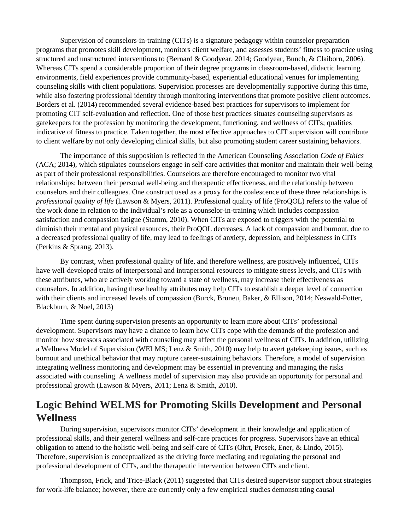Supervision of counselors-in-training (CITs) is a signature pedagogy within counselor preparation programs that promotes skill development, monitors client welfare, and assesses students' fitness to practice using structured and unstructured interventions to (Bernard & Goodyear, 2014; Goodyear, Bunch, & Claiborn, 2006). Whereas CITs spend a considerable proportion of their degree programs in classroom-based, didactic learning environments, field experiences provide community-based, experiential educational venues for implementing counseling skills with client populations. Supervision processes are developmentally supportive during this time, while also fostering professional identity through monitoring interventions that promote positive client outcomes. Borders et al. (2014) recommended several evidence-based best practices for supervisors to implement for promoting CIT self-evaluation and reflection. One of those best practices situates counseling supervisors as gatekeepers for the profession by monitoring the development, functioning, and wellness of CITs; qualities indicative of fitness to practice. Taken together, the most effective approaches to CIT supervision will contribute to client welfare by not only developing clinical skills, but also promoting student career sustaining behaviors.

The importance of this supposition is reflected in the American Counseling Association *Code of Ethics* (ACA; 2014), which stipulates counselors engage in self-care activities that monitor and maintain their well-being as part of their professional responsibilities. Counselors are therefore encouraged to monitor two vital relationships: between their personal well-being and therapeutic effectiveness, and the relationship between counselors and their colleagues. One construct used as a proxy for the coalescence of these three relationships is *professional quality of life* (Lawson & Myers, 2011). Professional quality of life (ProQOL) refers to the value of the work done in relation to the individual's role as a counselor-in-training which includes compassion satisfaction and compassion fatigue (Stamm, 2010). When CITs are exposed to triggers with the potential to diminish their mental and physical resources, their ProQOL decreases. A lack of compassion and burnout, due to a decreased professional quality of life, may lead to feelings of anxiety, depression, and helplessness in CITs (Perkins & Sprang, 2013).

By contrast, when professional quality of life, and therefore wellness, are positively influenced, CITs have well-developed traits of interpersonal and intrapersonal resources to mitigate stress levels, and CITs with these attributes, who are actively working toward a state of wellness, may increase their effectiveness as counselors. In addition, having these healthy attributes may help CITs to establish a deeper level of connection with their clients and increased levels of compassion (Burck, Bruneu, Baker, & Ellison, 2014; Neswald-Potter, Blackburn, & Noel, 2013)

Time spent during supervision presents an opportunity to learn more about CITs' professional development. Supervisors may have a chance to learn how CITs cope with the demands of the profession and monitor how stressors associated with counseling may affect the personal wellness of CITs. In addition, utilizing a Wellness Model of Supervision (WELMS; Lenz & Smith, 2010) may help to avert gatekeeping issues, such as burnout and unethical behavior that may rupture career-sustaining behaviors. Therefore, a model of supervision integrating wellness monitoring and development may be essential in preventing and managing the risks associated with counseling. A wellness model of supervision may also provide an opportunity for personal and professional growth (Lawson & Myers, 2011; Lenz & Smith, 2010).

## **Logic Behind WELMS for Promoting Skills Development and Personal Wellness**

During supervision, supervisors monitor CITs' development in their knowledge and application of professional skills, and their general wellness and self-care practices for progress. Supervisors have an ethical obligation to attend to the holistic well-being and self-care of CITs (Ohrt, Prosek, Ener, & Lindo, 2015). Therefore, supervision is conceptualized as the driving force mediating and regulating the personal and professional development of CITs, and the therapeutic intervention between CITs and client.

Thompson, Frick, and Trice-Black (2011) suggested that CITs desired supervisor support about strategies for work-life balance; however, there are currently only a few empirical studies demonstrating causal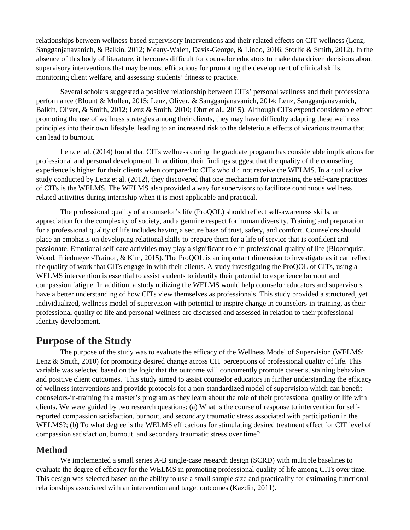relationships between wellness-based supervisory interventions and their related effects on CIT wellness (Lenz, Sangganjanavanich, & Balkin, 2012; Meany-Walen, Davis-George, & Lindo, 2016; Storlie & Smith, 2012). In the absence of this body of literature, it becomes difficult for counselor educators to make data driven decisions about supervisory interventions that may be most efficacious for promoting the development of clinical skills, monitoring client welfare, and assessing students' fitness to practice.

Several scholars suggested a positive relationship between CITs' personal wellness and their professional performance (Blount & Mullen, 2015; Lenz, Oliver, & Sangganjanavanich, 2014; Lenz, Sangganjanavanich, Balkin, Oliver, & Smith, 2012; Lenz & Smith, 2010; Ohrt et al., 2015). Although CITs expend considerable effort promoting the use of wellness strategies among their clients, they may have difficulty adapting these wellness principles into their own lifestyle, leading to an increased risk to the deleterious effects of vicarious trauma that can lead to burnout.

Lenz et al. (2014) found that CITs wellness during the graduate program has considerable implications for professional and personal development. In addition, their findings suggest that the quality of the counseling experience is higher for their clients when compared to CITs who did not receive the WELMS. In a qualitative study conducted by Lenz et al. (2012), they discovered that one mechanism for increasing the self-care practices of CITs is the WELMS. The WELMS also provided a way for supervisors to facilitate continuous wellness related activities during internship when it is most applicable and practical.

The professional quality of a counselor's life (ProQOL) should reflect self-awareness skills, an appreciation for the complexity of society, and a genuine respect for human diversity. Training and preparation for a professional quality of life includes having a secure base of trust, safety, and comfort. Counselors should place an emphasis on developing relational skills to prepare them for a life of service that is confident and passionate. Emotional self-care activities may play a significant role in professional quality of life (Bloomquist, Wood, Friedmeyer-Trainor, & Kim, 2015). The ProQOL is an important dimension to investigate as it can reflect the quality of work that CITs engage in with their clients. A study investigating the ProQOL of CITs, using a WELMS intervention is essential to assist students to identify their potential to experience burnout and compassion fatigue. In addition, a study utilizing the WELMS would help counselor educators and supervisors have a better understanding of how CITs view themselves as professionals. This study provided a structured, yet individualized, wellness model of supervision with potential to inspire change in counselors-in-training, as their professional quality of life and personal wellness are discussed and assessed in relation to their professional identity development.

#### **Purpose of the Study**

The purpose of the study was to evaluate the efficacy of the Wellness Model of Supervision (WELMS; Lenz & Smith, 2010) for promoting desired change across CIT perceptions of professional quality of life. This variable was selected based on the logic that the outcome will concurrently promote career sustaining behaviors and positive client outcomes. This study aimed to assist counselor educators in further understanding the efficacy of wellness interventions and provide protocols for a non-standardized model of supervision which can benefit counselors-in-training in a master's program as they learn about the role of their professional quality of life with clients. We were guided by two research questions: (a) What is the course of response to intervention for selfreported compassion satisfaction, burnout, and secondary traumatic stress associated with participation in the WELMS?; (b) To what degree is the WELMS efficacious for stimulating desired treatment effect for CIT level of compassion satisfaction, burnout, and secondary traumatic stress over time?

#### **Method**

We implemented a small series A-B single-case research design (SCRD) with multiple baselines to evaluate the degree of efficacy for the WELMS in promoting professional quality of life among CITs over time. This design was selected based on the ability to use a small sample size and practicality for estimating functional relationships associated with an intervention and target outcomes (Kazdin, 2011).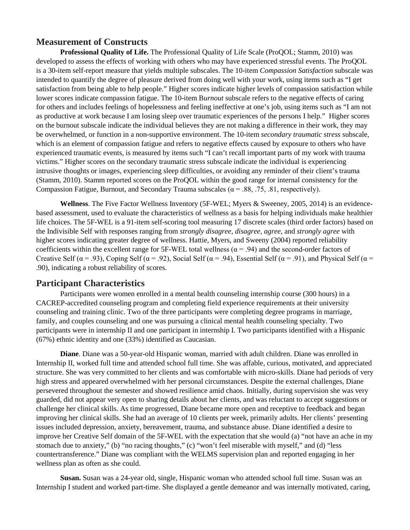#### **Measurement of Constructs**

**Professional Quality of Life.** The Professional Quality of Life Scale (ProQOL; Stamm, 2010) was developed to assess the effects of working with others who may have experienced stressful events. The ProQOL is a 30-item self-report measure that yields multiple subscales. The 10-item *Compassion Satisfaction* subscale was intended to quantify the degree of pleasure derived from doing well with your work, using items such as "I get satisfaction from being able to help people." Higher scores indicate higher levels of compassion satisfaction while lower scores indicate compassion fatigue. The 10-item B*urnout* subscale refers to the negative effects of caring for others and includes feelings of hopelessness and feeling ineffective at one's job, using items such as "I am not as productive at work because I am losing sleep over traumatic experiences of the persons I help." Higher scores on the burnout subscale indicate the individual believes they are not making a difference in their work, they may be overwhelmed, or function in a non-supportive environment. The 10-item *secondary traumatic stress* subscale, which is an element of compassion fatigue and refers to negative effects caused by exposure to others who have experienced traumatic events, is measured by items such "I can't recall important parts of my work with trauma victims." Higher scores on the secondary traumatic stress subscale indicate the individual is experiencing intrusive thoughts or images, experiencing sleep difficulties, or avoiding any reminder of their client's trauma (Stamm, 2010). Stamm reported scores on the ProQOL within the good range for internal consistency for the Compassion Fatigue, Burnout, and Secondary Trauma subscales ( $\alpha$  = .88, .75, .81, respectively).

**Wellness**. The Five Factor Wellness Inventory (5F-WEL; Myers & Sweeney, 2005, 2014) is an evidencebased assessment, used to evaluate the characteristics of wellness as a basis for helping individuals make healthier life choices. The 5F-WEL is a 91-item self-scoring tool measuring 17 discrete scales (third order factors) based on the Indivisible Self with responses ranging from *strongly disagree, disagree, agree,* and *strongly agree* with higher scores indicating greater degree of wellness. Hattie, Myers, and Sweeny (2004) reported reliability coefficients within the excellent range for 5F-WEL total wellness ( $\alpha$  = .94) and the second-order factors of Creative Self ( $\alpha$  = .93), Coping Self ( $\alpha$  = .92), Social Self ( $\alpha$  = .94), Essential Self ( $\alpha$  = .91), and Physical Self ( $\alpha$  = .90), indicating a robust reliability of scores.

#### **Participant Characteristics**

Participants were women enrolled in a mental health counseling internship course (300 hours) in a CACREP-accredited counseling program and completing field experience requirements at their university counseling and training clinic. Two of the three participants were completing degree programs in marriage, family, and couples counseling and one was pursuing a clinical mental health counseling specialty. Two participants were in internship II and one participant in internship I. Two participants identified with a Hispanic (67%) ethnic identity and one (33%) identified as Caucasian.

**Diane**. Diane was a 50-year-old Hispanic woman, married with adult children. Diane was enrolled in Internship II, worked full time and attended school full time. She was affable, curious, motivated, and appreciated structure. She was very committed to her clients and was comfortable with micro-skills. Diane had periods of very high stress and appeared overwhelmed with her personal circumstances. Despite the external challenges, Diane persevered throughout the semester and showed resilience amid chaos. Initially, during supervision she was very guarded, did not appear very open to sharing details about her clients, and was reluctant to accept suggestions or challenge her clinical skills. As time progressed, Diane became more open and receptive to feedback and began improving her clinical skills. She had an average of 10 clients per week, primarily adults. Her clients' presenting issues included depression, anxiety, bereavement, trauma, and substance abuse. Diane identified a desire to improve her Creative Self domain of the 5F-WEL with the expectation that she would (a) "not have an ache in my stomach due to anxiety," (b) "no racing thoughts," (c) "won't feel miserable with myself," and (d) "less countertransference." Diane was compliant with the WELMS supervision plan and reported engaging in her wellness plan as often as she could.

**Susan.** Susan was a 24-year old, single, Hispanic woman who attended school full time. Susan was an Internship I student and worked part-time. She displayed a gentle demeanor and was internally motivated, caring,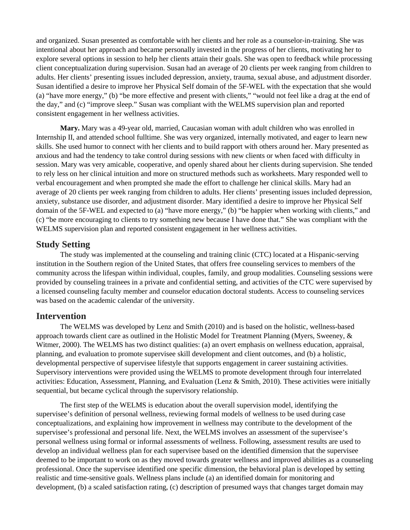and organized. Susan presented as comfortable with her clients and her role as a counselor-in-training. She was intentional about her approach and became personally invested in the progress of her clients, motivating her to explore several options in session to help her clients attain their goals. She was open to feedback while processing client conceptualization during supervision. Susan had an average of 20 clients per week ranging from children to adults. Her clients' presenting issues included depression, anxiety, trauma, sexual abuse, and adjustment disorder. Susan identified a desire to improve her Physical Self domain of the 5F-WEL with the expectation that she would (a) "have more energy," (b) "be more effective and present with clients," "would not feel like a drag at the end of the day," and (c) "improve sleep." Susan was compliant with the WELMS supervision plan and reported consistent engagement in her wellness activities.

**Mary.** Mary was a 49-year old, married, Caucasian woman with adult children who was enrolled in Internship II, and attended school fulltime. She was very organized, internally motivated, and eager to learn new skills. She used humor to connect with her clients and to build rapport with others around her. Mary presented as anxious and had the tendency to take control during sessions with new clients or when faced with difficulty in session. Mary was very amicable, cooperative, and openly shared about her clients during supervision. She tended to rely less on her clinical intuition and more on structured methods such as worksheets. Mary responded well to verbal encouragement and when prompted she made the effort to challenge her clinical skills. Mary had an average of 20 clients per week ranging from children to adults. Her clients' presenting issues included depression, anxiety, substance use disorder, and adjustment disorder. Mary identified a desire to improve her Physical Self domain of the 5F-WEL and expected to (a) "have more energy," (b) "be happier when working with clients," and (c) "be more encouraging to clients to try something new because I have done that." She was compliant with the WELMS supervision plan and reported consistent engagement in her wellness activities.

#### **Study Setting**

The study was implemented at the counseling and training clinic (CTC) located at a Hispanic-serving institution in the Southern region of the United States, that offers free counseling services to members of the community across the lifespan within individual, couples, family, and group modalities. Counseling sessions were provided by counseling trainees in a private and confidential setting, and activities of the CTC were supervised by a licensed counseling faculty member and counselor education doctoral students. Access to counseling services was based on the academic calendar of the university.

#### **Intervention**

The WELMS was developed by Lenz and Smith (2010) and is based on the holistic, wellness-based approach towards client care as outlined in the Holistic Model for Treatment Planning (Myers, Sweeney, & Witmer, 2000). The WELMS has two distinct qualities: (a) an overt emphasis on wellness education, appraisal, planning, and evaluation to promote supervisee skill development and client outcomes, and (b) a holistic, developmental perspective of supervisee lifestyle that supports engagement in career sustaining activities. Supervisory interventions were provided using the WELMS to promote development through four interrelated activities: Education, Assessment, Planning, and Evaluation (Lenz & Smith, 2010). These activities were initially sequential, but became cyclical through the supervisory relationship.

The first step of the WELMS is education about the overall supervision model, identifying the supervisee's definition of personal wellness, reviewing formal models of wellness to be used during case conceptualizations, and explaining how improvement in wellness may contribute to the development of the supervisee's professional and personal life. Next, the WELMS involves an assessment of the supervisee's personal wellness using formal or informal assessments of wellness. Following, assessment results are used to develop an individual wellness plan for each supervisee based on the identified dimension that the supervisee deemed to be important to work on as they moved towards greater wellness and improved abilities as a counseling professional. Once the supervisee identified one specific dimension, the behavioral plan is developed by setting realistic and time-sensitive goals. Wellness plans include (a) an identified domain for monitoring and development, (b) a scaled satisfaction rating, (c) description of presumed ways that changes target domain may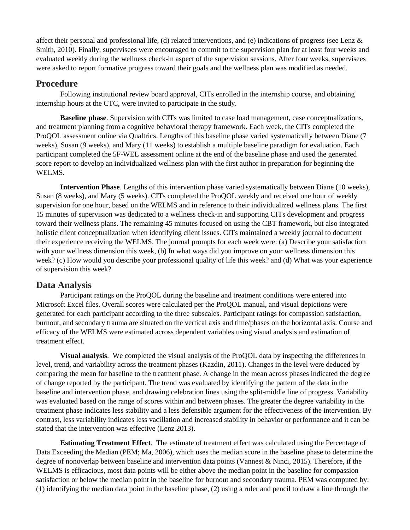affect their personal and professional life, (d) related interventions, and (e) indications of progress (see Lenz  $\&$ Smith, 2010). Finally, supervisees were encouraged to commit to the supervision plan for at least four weeks and evaluated weekly during the wellness check-in aspect of the supervision sessions. After four weeks, supervisees were asked to report formative progress toward their goals and the wellness plan was modified as needed.

#### **Procedure**

Following institutional review board approval, CITs enrolled in the internship course, and obtaining internship hours at the CTC, were invited to participate in the study.

**Baseline phase**. Supervision with CITs was limited to case load management, case conceptualizations, and treatment planning from a cognitive behavioral therapy framework. Each week, the CITs completed the ProQOL assessment online via Qualtrics. Lengths of this baseline phase varied systematically between Diane (7 weeks), Susan (9 weeks), and Mary (11 weeks) to establish a multiple baseline paradigm for evaluation. Each participant completed the 5F-WEL assessment online at the end of the baseline phase and used the generated score report to develop an individualized wellness plan with the first author in preparation for beginning the WELMS.

**Intervention Phase**. Lengths of this intervention phase varied systematically between Diane (10 weeks), Susan (8 weeks), and Mary (5 weeks). CITs completed the ProQOL weekly and received one hour of weekly supervision for one hour, based on the WELMS and in reference to their individualized wellness plans. The first 15 minutes of supervision was dedicated to a wellness check-in and supporting CITs development and progress toward their wellness plans. The remaining 45 minutes focused on using the CBT framework, but also integrated holistic client conceptualization when identifying client issues. CITs maintained a weekly journal to document their experience receiving the WELMS. The journal prompts for each week were: (a) Describe your satisfaction with your wellness dimension this week, (b) In what ways did you improve on your wellness dimension this week? (c) How would you describe your professional quality of life this week? and (d) What was your experience of supervision this week?

#### **Data Analysis**

Participant ratings on the ProQOL during the baseline and treatment conditions were entered into Microsoft Excel files. Overall scores were calculated per the ProQOL manual, and visual depictions were generated for each participant according to the three subscales. Participant ratings for compassion satisfaction, burnout, and secondary trauma are situated on the vertical axis and time/phases on the horizontal axis. Course and efficacy of the WELMS were estimated across dependent variables using visual analysis and estimation of treatment effect.

**Visual analysis**. We completed the visual analysis of the ProQOL data by inspecting the differences in level, trend, and variability across the treatment phases (Kazdin, 2011). Changes in the level were deduced by comparing the mean for baseline to the treatment phase. A change in the mean across phases indicated the degree of change reported by the participant. The trend was evaluated by identifying the pattern of the data in the baseline and intervention phase, and drawing celebration lines using the split-middle line of progress. Variability was evaluated based on the range of scores within and between phases. The greater the degree variability in the treatment phase indicates less stability and a less defensible argument for the effectiveness of the intervention. By contrast, less variability indicates less vacillation and increased stability in behavior or performance and it can be stated that the intervention was effective (Lenz 2013).

**Estimating Treatment Effect**.The estimate of treatment effect was calculated using the Percentage of Data Exceeding the Median (PEM; Ma, 2006), which uses the median score in the baseline phase to determine the degree of nonoverlap between baseline and intervention data points (Vannest & Ninci, 2015). Therefore, if the WELMS is efficacious, most data points will be either above the median point in the baseline for compassion satisfaction or below the median point in the baseline for burnout and secondary trauma. PEM was computed by: (1) identifying the median data point in the baseline phase, (2) using a ruler and pencil to draw a line through the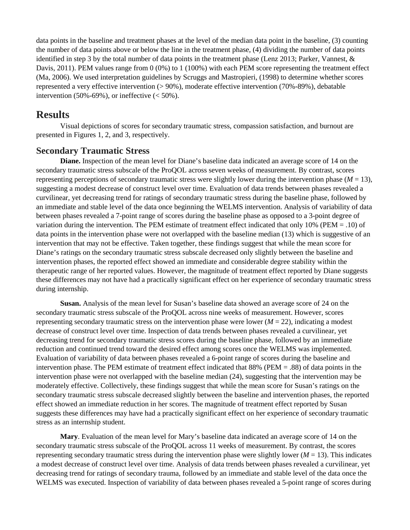data points in the baseline and treatment phases at the level of the median data point in the baseline, (3) counting the number of data points above or below the line in the treatment phase, (4) dividing the number of data points identified in step 3 by the total number of data points in the treatment phase (Lenz 2013; Parker, Vannest, & Davis, 2011). PEM values range from 0 (0%) to 1 (100%) with each PEM score representing the treatment effect (Ma, 2006). We used interpretation guidelines by Scruggs and Mastropieri, (1998) to determine whether scores represented a very effective intervention (> 90%), moderate effective intervention (70%-89%), debatable intervention  $(50\% - 69\%)$ , or ineffective  $(< 50\%)$ .

#### **Results**

Visual depictions of scores for secondary traumatic stress, compassion satisfaction, and burnout are presented in Figures 1, 2, and 3, respectively.

#### **Secondary Traumatic Stress**

**Diane.** Inspection of the mean level for Diane's baseline data indicated an average score of 14 on the secondary traumatic stress subscale of the ProQOL across seven weeks of measurement. By contrast, scores representing perceptions of secondary traumatic stress were slightly lower during the intervention phase  $(M = 13)$ , suggesting a modest decrease of construct level over time. Evaluation of data trends between phases revealed a curvilinear, yet decreasing trend for ratings of secondary traumatic stress during the baseline phase, followed by an immediate and stable level of the data once beginning the WELMS intervention. Analysis of variability of data between phases revealed a 7-point range of scores during the baseline phase as opposed to a 3-point degree of variation during the intervention. The PEM estimate of treatment effect indicated that only 10% (PEM = .10) of data points in the intervention phase were not overlapped with the baseline median (13) which is suggestive of an intervention that may not be effective. Taken together, these findings suggest that while the mean score for Diane's ratings on the secondary traumatic stress subscale decreased only slightly between the baseline and intervention phases, the reported effect showed an immediate and considerable degree stability within the therapeutic range of her reported values. However, the magnitude of treatment effect reported by Diane suggests these differences may not have had a practically significant effect on her experience of secondary traumatic stress during internship.

**Susan.** Analysis of the mean level for Susan's baseline data showed an average score of 24 on the secondary traumatic stress subscale of the ProQOL across nine weeks of measurement. However, scores representing secondary traumatic stress on the intervention phase were lower (*M* = 22), indicating a modest decrease of construct level over time. Inspection of data trends between phases revealed a curvilinear, yet decreasing trend for secondary traumatic stress scores during the baseline phase, followed by an immediate reduction and continued trend toward the desired effect among scores once the WELMS was implemented. Evaluation of variability of data between phases revealed a 6-point range of scores during the baseline and intervention phase. The PEM estimate of treatment effect indicated that 88% (PEM = .88) of data points in the intervention phase were not overlapped with the baseline median (24), suggesting that the intervention may be moderately effective. Collectively, these findings suggest that while the mean score for Susan's ratings on the secondary traumatic stress subscale decreased slightly between the baseline and intervention phases, the reported effect showed an immediate reduction in her scores. The magnitude of treatment effect reported by Susan suggests these differences may have had a practically significant effect on her experience of secondary traumatic stress as an internship student.

**Mary**. Evaluation of the mean level for Mary's baseline data indicated an average score of 14 on the secondary traumatic stress subscale of the ProQOL across 11 weeks of measurement. By contrast, the scores representing secondary traumatic stress during the intervention phase were slightly lower ( $M = 13$ ). This indicates a modest decrease of construct level over time. Analysis of data trends between phases revealed a curvilinear, yet decreasing trend for ratings of secondary trauma, followed by an immediate and stable level of the data once the WELMS was executed. Inspection of variability of data between phases revealed a 5-point range of scores during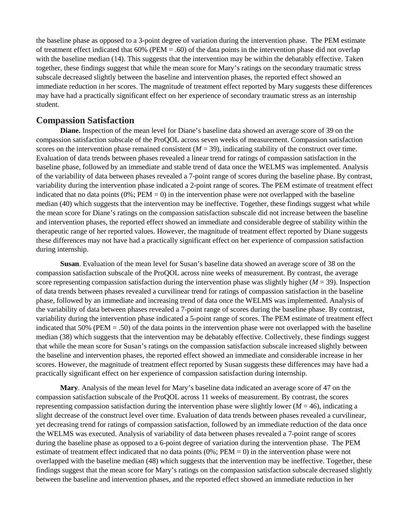the baseline phase as opposed to a 3-point degree of variation during the intervention phase. The PEM estimate of treatment effect indicated that  $60\%$  (PEM = .60) of the data points in the intervention phase did not overlap with the baseline median (14). This suggests that the intervention may be within the debatably effective. Taken together, these findings suggest that while the mean score for Mary's ratings on the secondary traumatic stress subscale decreased slightly between the baseline and intervention phases, the reported effect showed an immediate reduction in her scores. The magnitude of treatment effect reported by Mary suggests these differences may have had a practically significant effect on her experience of secondary traumatic stress as an internship student.

#### **Compassion Satisfaction**

**Diane.** Inspection of the mean level for Diane's baseline data showed an average score of 39 on the compassion satisfaction subscale of the ProQOL across seven weeks of measurement. Compassion satisfaction scores on the intervention phase remained consistent  $(M = 39)$ , indicating stability of the construct over time. Evaluation of data trends between phases revealed a linear trend for ratings of compassion satisfaction in the baseline phase, followed by an immediate and stable trend of data once the WELMS was implemented. Analysis of the variability of data between phases revealed a 7-point range of scores during the baseline phase. By contrast, variability during the intervention phase indicated a 2-point range of scores. The PEM estimate of treatment effect indicated that no data points  $(0\%;PEM = 0)$  in the intervention phase were not overlapped with the baseline median (40) which suggests that the intervention may be ineffective. Together, these findings suggest what while the mean score for Diane's ratings on the compassion satisfaction subscale did not increase between the baseline and intervention phases, the reported effect showed an immediate and considerable degree of stability within the therapeutic range of her reported values. However, the magnitude of treatment effect reported by Diane suggests these differences may not have had a practically significant effect on her experience of compassion satisfaction during internship.

**Susan**. Evaluation of the mean level for Susan's baseline data showed an average score of 38 on the compassion satisfaction subscale of the ProQOL across nine weeks of measurement. By contrast, the average score representing compassion satisfaction during the intervention phase was slightly higher (*M* = 39). Inspection of data trends between phases revealed a curvilinear trend for ratings of compassion satisfaction in the baseline phase, followed by an immediate and increasing trend of data once the WELMS was implemented. Analysis of the variability of data between phases revealed a 7-point range of scores during the baseline phase. By contrast, variability during the intervention phase indicated a 5-point range of scores. The PEM estimate of treatment effect indicated that  $50\%$  (PEM = .50) of the data points in the intervention phase were not overlapped with the baseline median (38) which suggests that the intervention may be debatably effective. Collectively, these findings suggest that while the mean score for Susan's ratings on the compassion satisfaction subscale increased slightly between the baseline and intervention phases, the reported effect showed an immediate and considerable increase in her scores. However, the magnitude of treatment effect reported by Susan suggests these differences may have had a practically significant effect on her experience of compassion satisfaction during internship.

**Mary**. Analysis of the mean level for Mary's baseline data indicated an average score of 47 on the compassion satisfaction subscale of the ProQOL across 11 weeks of measurement. By contrast, the scores representing compassion satisfaction during the intervention phase were slightly lower ( $M = 46$ ), indicating a slight decrease of the construct level over time. Evaluation of data trends between phases revealed a curvilinear, yet decreasing trend for ratings of compassion satisfaction, followed by an immediate reduction of the data once the WELMS was executed. Analysis of variability of data between phases revealed a 7-point range of scores during the baseline phase as opposed to a 6-point degree of variation during the intervention phase. The PEM estimate of treatment effect indicated that no data points  $(0\%; PEM = 0)$  in the intervention phase were not overlapped with the baseline median (48) which suggests that the intervention may be ineffective. Together, these findings suggest that the mean score for Mary's ratings on the compassion satisfaction subscale decreased slightly between the baseline and intervention phases, and the reported effect showed an immediate reduction in her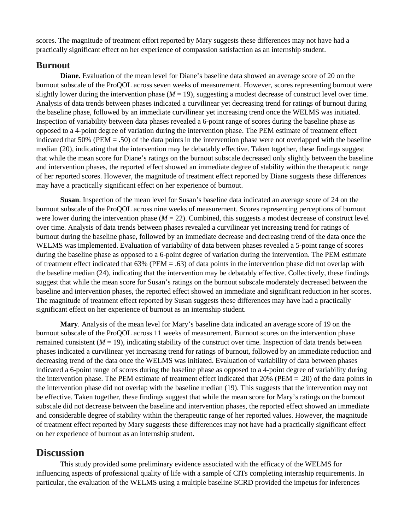scores. The magnitude of treatment effort reported by Mary suggests these differences may not have had a practically significant effect on her experience of compassion satisfaction as an internship student.

#### **Burnout**

**Diane.** Evaluation of the mean level for Diane's baseline data showed an average score of 20 on the burnout subscale of the ProQOL across seven weeks of measurement. However, scores representing burnout were slightly lower during the intervention phase  $(M = 19)$ , suggesting a modest decrease of construct level over time. Analysis of data trends between phases indicated a curvilinear yet decreasing trend for ratings of burnout during the baseline phase, followed by an immediate curvilinear yet increasing trend once the WELMS was initiated. Inspection of variability between data phases revealed a 6-point range of scores during the baseline phase as opposed to a 4-point degree of variation during the intervention phase. The PEM estimate of treatment effect indicated that 50% (PEM = .50) of the data points in the intervention phase were not overlapped with the baseline median (20), indicating that the intervention may be debatably effective. Taken together, these findings suggest that while the mean score for Diane's ratings on the burnout subscale decreased only slightly between the baseline and intervention phases, the reported effect showed an immediate degree of stability within the therapeutic range of her reported scores. However, the magnitude of treatment effect reported by Diane suggests these differences may have a practically significant effect on her experience of burnout.

**Susan**. Inspection of the mean level for Susan's baseline data indicated an average score of 24 on the burnout subscale of the ProQOL across nine weeks of measurement. Scores representing perceptions of burnout were lower during the intervention phase  $(M = 22)$ . Combined, this suggests a modest decrease of construct level over time. Analysis of data trends between phases revealed a curvilinear yet increasing trend for ratings of burnout during the baseline phase, followed by an immediate decrease and decreasing trend of the data once the WELMS was implemented. Evaluation of variability of data between phases revealed a 5-point range of scores during the baseline phase as opposed to a 6-point degree of variation during the intervention. The PEM estimate of treatment effect indicated that  $63\%$  (PEM = .63) of data points in the intervention phase did not overlap with the baseline median (24), indicating that the intervention may be debatably effective. Collectively, these findings suggest that while the mean score for Susan's ratings on the burnout subscale moderately decreased between the baseline and intervention phases, the reported effect showed an immediate and significant reduction in her scores. The magnitude of treatment effect reported by Susan suggests these differences may have had a practically significant effect on her experience of burnout as an internship student.

**Mary**. Analysis of the mean level for Mary's baseline data indicated an average score of 19 on the burnout subscale of the ProQOL across 11 weeks of measurement. Burnout scores on the intervention phase remained consistent  $(M = 19)$ , indicating stability of the construct over time. Inspection of data trends between phases indicated a curvilinear yet increasing trend for ratings of burnout, followed by an immediate reduction and decreasing trend of the data once the WELMS was initiated. Evaluation of variability of data between phases indicated a 6-point range of scores during the baseline phase as opposed to a 4-point degree of variability during the intervention phase. The PEM estimate of treatment effect indicated that  $20\%$  (PEM = .20) of the data points in the intervention phase did not overlap with the baseline median (19). This suggests that the intervention may not be effective. Taken together, these findings suggest that while the mean score for Mary's ratings on the burnout subscale did not decrease between the baseline and intervention phases, the reported effect showed an immediate and considerable degree of stability within the therapeutic range of her reported values. However, the magnitude of treatment effect reported by Mary suggests these differences may not have had a practically significant effect on her experience of burnout as an internship student.

#### **Discussion**

This study provided some preliminary evidence associated with the efficacy of the WELMS for influencing aspects of professional quality of life with a sample of CITs completing internship requirements. In particular, the evaluation of the WELMS using a multiple baseline SCRD provided the impetus for inferences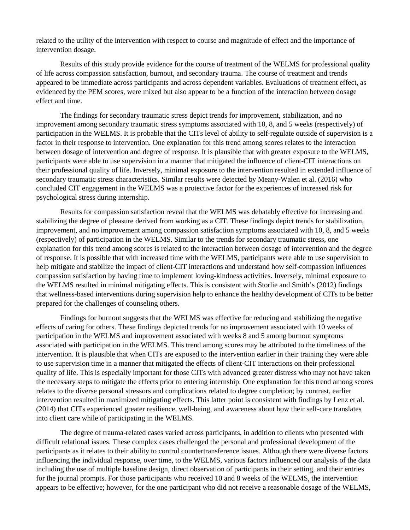related to the utility of the intervention with respect to course and magnitude of effect and the importance of intervention dosage.

Results of this study provide evidence for the course of treatment of the WELMS for professional quality of life across compassion satisfaction, burnout, and secondary trauma. The course of treatment and trends appeared to be immediate across participants and across dependent variables. Evaluations of treatment effect, as evidenced by the PEM scores, were mixed but also appear to be a function of the interaction between dosage effect and time.

The findings for secondary traumatic stress depict trends for improvement, stabilization, and no improvement among secondary traumatic stress symptoms associated with 10, 8, and 5 weeks (respectively) of participation in the WELMS. It is probable that the CITs level of ability to self-regulate outside of supervision is a factor in their response to intervention. One explanation for this trend among scores relates to the interaction between dosage of intervention and degree of response. It is plausible that with greater exposure to the WELMS, participants were able to use supervision in a manner that mitigated the influence of client-CIT interactions on their professional quality of life. Inversely, minimal exposure to the intervention resulted in extended influence of secondary traumatic stress characteristics. Similar results were detected by Meany-Walen et al. (2016) who concluded CIT engagement in the WELMS was a protective factor for the experiences of increased risk for psychological stress during internship.

Results for compassion satisfaction reveal that the WELMS was debatably effective for increasing and stabilizing the degree of pleasure derived from working as a CIT. These findings depict trends for stabilization, improvement, and no improvement among compassion satisfaction symptoms associated with 10, 8, and 5 weeks (respectively) of participation in the WELMS. Similar to the trends for secondary traumatic stress, one explanation for this trend among scores is related to the interaction between dosage of intervention and the degree of response. It is possible that with increased time with the WELMS, participants were able to use supervision to help mitigate and stabilize the impact of client-CIT interactions and understand how self-compassion influences compassion satisfaction by having time to implement loving-kindness activities. Inversely, minimal exposure to the WELMS resulted in minimal mitigating effects. This is consistent with Storlie and Smith's (2012) findings that wellness-based interventions during supervision help to enhance the healthy development of CITs to be better prepared for the challenges of counseling others.

Findings for burnout suggests that the WELMS was effective for reducing and stabilizing the negative effects of caring for others. These findings depicted trends for no improvement associated with 10 weeks of participation in the WELMS and improvement associated with weeks 8 and 5 among burnout symptoms associated with participation in the WELMS. This trend among scores may be attributed to the timeliness of the intervention. It is plausible that when CITs are exposed to the intervention earlier in their training they were able to use supervision time in a manner that mitigated the effects of client-CIT interactions on their professional quality of life. This is especially important for those CITs with advanced greater distress who may not have taken the necessary steps to mitigate the effects prior to entering internship. One explanation for this trend among scores relates to the diverse personal stressors and complications related to degree completion; by contrast, earlier intervention resulted in maximized mitigating effects. This latter point is consistent with findings by Lenz et al. (2014) that CITs experienced greater resilience, well-being, and awareness about how their self-care translates into client care while of participating in the WELMS.

The degree of trauma-related cases varied across participants, in addition to clients who presented with difficult relational issues. These complex cases challenged the personal and professional development of the participants as it relates to their ability to control countertransference issues. Although there were diverse factors influencing the individual response, over time, to the WELMS, various factors influenced our analysis of the data including the use of multiple baseline design, direct observation of participants in their setting, and their entries for the journal prompts. For those participants who received 10 and 8 weeks of the WELMS, the intervention appears to be effective; however, for the one participant who did not receive a reasonable dosage of the WELMS,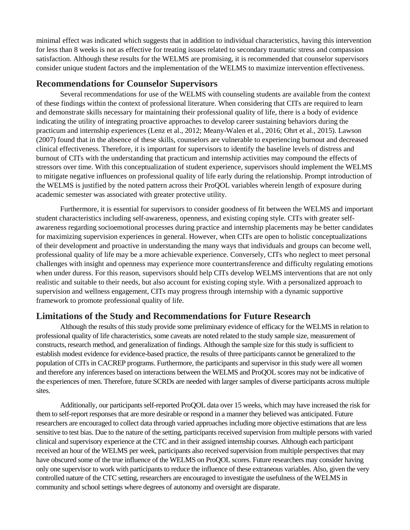minimal effect was indicated which suggests that in addition to individual characteristics, having this intervention for less than 8 weeks is not as effective for treating issues related to secondary traumatic stress and compassion satisfaction. Although these results for the WELMS are promising, it is recommended that counselor supervisors consider unique student factors and the implementation of the WELMS to maximize intervention effectiveness.

#### **Recommendations for Counselor Supervisors**

Several recommendations for use of the WELMS with counseling students are available from the context of these findings within the context of professional literature. When considering that CITs are required to learn and demonstrate skills necessary for maintaining their professional quality of life, there is a body of evidence indicating the utility of integrating proactive approaches to develop career sustaining behaviors during the practicum and internship experiences (Lenz et al., 2012; Meany-Walen et al., 2016; Ohrt et al., 2015). Lawson (2007) found that in the absence of these skills, counselors are vulnerable to experiencing burnout and decreased clinical effectiveness. Therefore, it is important for supervisors to identify the baseline levels of distress and burnout of CITs with the understanding that practicum and internship activities may compound the effects of stressors over time. With this conceptualization of student experience, supervisors should implement the WELMS to mitigate negative influences on professional quality of life early during the relationship. Prompt introduction of the WELMS is justified by the noted pattern across their ProQOL variables wherein length of exposure during academic semester was associated with greater protective utility.

Furthermore, it is essential for supervisors to consider goodness of fit between the WELMS and important student characteristics including self-awareness, openness, and existing coping style. CITs with greater selfawareness regarding socioemotional processes during practice and internship placements may be better candidates for maximizing supervision experiences in general. However, when CITs are open to holistic conceptualizations of their development and proactive in understanding the many ways that individuals and groups can become well, professional quality of life may be a more achievable experience. Conversely, CITs who neglect to meet personal challenges with insight and openness may experience more countertransference and difficulty regulating emotions when under duress. For this reason, supervisors should help CITs develop WELMS interventions that are not only realistic and suitable to their needs, but also account for existing coping style. With a personalized approach to supervision and wellness engagement, CITs may progress through internship with a dynamic supportive framework to promote professional quality of life.

#### **Limitations of the Study and Recommendations for Future Research**

Although the results of this study provide some preliminary evidence of efficacy for the WELMS in relation to professional quality of life characteristics, some caveats are noted related to the study sample size, measurement of constructs, research method, and generalization of findings. Although the sample size for this study is sufficient to establish modest evidence for evidence-based practice, the results of three participants cannot be generalized to the population of CITs in CACREP programs. Furthermore, the participants and supervisor in this study were all women and therefore any inferences based on interactions between the WELMS and ProQOL scores may not be indicative of the experiences of men. Therefore, future SCRDs are needed with larger samples of diverse participants across multiple sites.

Additionally, our participants self-reported ProQOL data over 15 weeks, which may have increased the risk for them to self-report responses that are more desirable or respond in a manner they believed was anticipated. Future researchers are encouraged to collect data through varied approaches including more objective estimations that are less sensitive to test bias. Due to the nature of the setting, participants received supervision from multiple persons with varied clinical and supervisory experience at the CTC and in their assigned internship courses. Although each participant received an hour of the WELMS per week, participants also received supervision from multiple perspectives that may have obscured some of the true influence of the WELMS on ProQOL scores. Future researchers may consider having only one supervisor to work with participants to reduce the influence of these extraneous variables. Also, given the very controlled nature of the CTC setting, researchers are encouraged to investigate the usefulness of the WELMS in community and school settings where degrees of autonomy and oversight are disparate.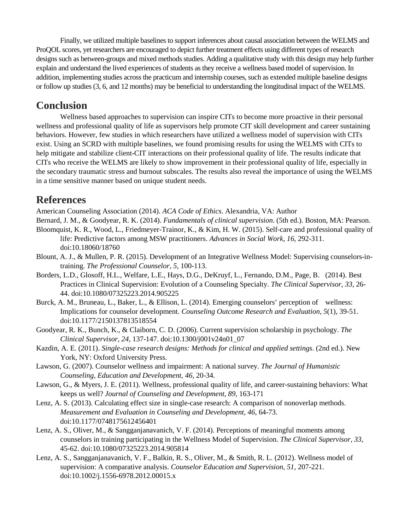Finally, we utilized multiple baselines to support inferences about causal association between the WELMS and ProQOL scores, yet researchers are encouraged to depict further treatment effects using different types of research designs such as between-groups and mixed methods studies. Adding a qualitative study with this design may help further explain and understand the lived experiences of students as they receive a wellness based model of supervision. In addition, implementing studies across the practicum and internship courses, such as extended multiple baseline designs or follow up studies (3, 6, and 12 months) may be beneficial to understanding the longitudinal impact of the WELMS.

## **Conclusion**

Wellness based approaches to supervision can inspire CITs to become more proactive in their personal wellness and professional quality of life as supervisors help promote CIT skill development and career sustaining behaviors. However, few studies in which researchers have utilized a wellness model of supervision with CITs exist. Using an SCRD with multiple baselines, we found promising results for using the WELMS with CITs to help mitigate and stabilize client-CIT interactions on their professional quality of life. The results indicate that CITs who receive the WELMS are likely to show improvement in their professional quality of life, especially in the secondary traumatic stress and burnout subscales. The results also reveal the importance of using the WELMS in a time sensitive manner based on unique student needs.

## **References**

American Counseling Association (2014). *ACA Code of Ethics*. Alexandria, VA: Author

- Bernard, J. M., & Goodyear, R. K. (2014). *Fundamentals of clinical supervision*. (5th ed.). Boston, MA: Pearson.
- Bloomquist, K. R., Wood, L., Friedmeyer-Trainor, K., & Kim, H. W. (2015). Self-care and professional quality of life: Predictive factors among MSW practitioners. *Advances in Social Work, 16*, 292-311. doi:10.18060/18760
- Blount, A. J., & Mullen, P. R. (2015). Development of an Integrative Wellness Model: Supervising counselors-intraining. *The Professional Counselor, 5*, 100-113.
- Borders, L.D., Glosoff, H.L., Welfare, L.E., Hays, D.G., DeKruyf, L., Fernando, D.M., Page, B. (2014). Best Practices in Clinical Supervision: Evolution of a Counseling Specialty. *The Clinical Supervisor*, *33*, 26- 44. doi:10.1080/07325223.2014.905225
- Burck, A. M., Bruneau, L., Baker, L., & Ellison, L. (2014). Emerging counselors' perception of wellness: Implications for counselor development. *Counseling Outcome Research and Evaluation, 5*(1), 39-51. doi:10.1177/2150137813518554
- Goodyear, R. K., Bunch, K., & Claiborn, C. D. (2006). Current supervision scholarship in psychology. *The Clinical Supervisor, 24*, 137-147. doi:10.1300/j001v24n01\_07
- Kazdin, A. E. (2011). *Single-case research designs: Methods for clinical and applied settings*. (2nd ed.). New York, NY: Oxford University Press.
- Lawson, G. (2007). Counselor wellness and impairment: A national survey. *The Journal of Humanistic Counseling, Education and Development, 46*, 20-34.
- Lawson, G., & Myers, J. E. (2011). Wellness, professional quality of life, and career-sustaining behaviors: What keeps us well? *Journal of Counseling and Development, 89*, 163-171
- Lenz, A. S. (2013). Calculating effect size in single-case research: A comparison of nonoverlap methods. *Measurement and Evaluation in Counseling and Development, 46*, 64-73. doi:10.1177/0748175612456401
- Lenz, A. S., Oliver, M., & Sangganjanavanich, V. F. (2014). Perceptions of meaningful moments among counselors in training participating in the Wellness Model of Supervision. *The Clinical Supervisor, 33*, 45-62. doi:10.1080/07325223.2014.905814
- Lenz, A. S., Sangganjanavanich, V. F., Balkin, R. S., Oliver, M., & Smith, R. L. (2012). Wellness model of supervision: A comparative analysis. *Counselor Education and Supervision, 51*, 207-221. doi:10.1002/j.1556-6978.2012.00015.x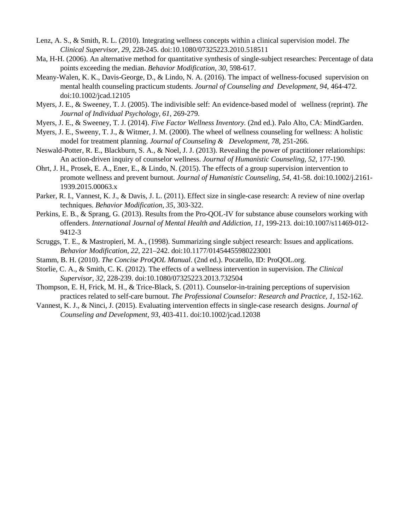- Lenz, A. S., & Smith, R. L. (2010). Integrating wellness concepts within a clinical supervision model. *The Clinical Supervisor, 29*, 228-245. doi:10.1080/07325223.2010.518511
- Ma, H-H. (2006). An alternative method for quantitative synthesis of single-subject researches: Percentage of data points exceeding the median. *Behavior Modification, 30*, 598-617.
- Meany-Walen, K. K., Davis-George, D., & Lindo, N. A. (2016). The impact of wellness-focused supervision on mental health counseling practicum students. *Journal of Counseling and Development, 94*, 464-472. doi:10.1002/jcad.12105
- Myers, J. E., & Sweeney, T. J. (2005). The indivisible self: An evidence-based model of wellness (reprint). *The Journal of Individual Psychology, 61*, 269-279.
- Myers, J. E., & Sweeney, T. J. (2014). *Five Factor Wellness Inventory.* (2nd ed.). Palo Alto, CA: MindGarden.
- Myers, J. E., Sweeny, T. J., & Witmer, J. M. (2000). The wheel of wellness counseling for wellness: A holistic model for treatment planning. *Journal of Counseling & Development*, *78*, 251-266.
- Neswald-Potter, R. E., Blackburn, S. A., & Noel, J. J. (2013). Revealing the power of practitioner relationships: An action-driven inquiry of counselor wellness. *Journal of Humanistic Counseling, 52*, 177-190.
- Ohrt, J. H., Prosek, E. A., Ener, E., & Lindo, N. (2015). The effects of a group supervision intervention to promote wellness and prevent burnout. *Journal of Humanistic Counseling, 54*, 41-58. doi:10.1002/j.2161- 1939.2015.00063.x
- Parker, R. I., Vannest, K. J., & Davis, J. L. (2011). Effect size in single-case research: A review of nine overlap techniques. *Behavior Modification, 35*, 303-322.
- Perkins, E. B., & Sprang, G. (2013). Results from the Pro-QOL-IV for substance abuse counselors working with offenders. *International Journal of Mental Health and Addiction, 11*, 199-213. doi:10.1007/s11469-012- 9412-3
- Scruggs, T. E., & Mastropieri, M. A., (1998). Summarizing single subject research: Issues and applications. *Behavior Modification, 22*, 221–242. doi:10.1177/01454455980223001
- Stamm, B. H. (2010). *The Concise ProQOL Manual*. (2nd ed.). Pocatello, ID: ProQOL.org.
- Storlie, C. A., & Smith, C. K. (2012). The effects of a wellness intervention in supervision. *The Clinical Supervisor, 32*, 228-239. doi:10.1080/07325223.2013.732504
- Thompson, E. H, Frick, M. H., & Trice-Black, S. (2011). Counselor-in-training perceptions of supervision practices related to self-care burnout. *The Professional Counselor: Research and Practice, 1*, 152-162.
- Vannest, K. J., & Ninci, J. (2015). Evaluating intervention effects in single-case research designs. *Journal of Counseling and Development, 93*, 403-411. doi:10.1002/jcad.12038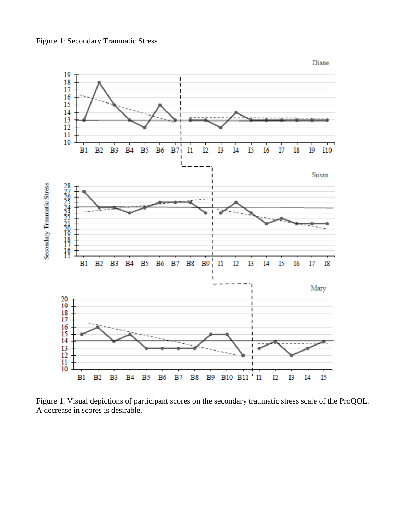



Figure 1. Visual depictions of participant scores on the secondary traumatic stress scale of the ProQOL. A decrease in scores is desirable.

Diane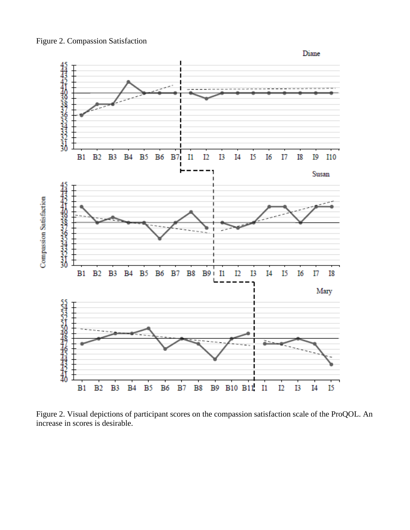

Figure 2. Visual depictions of participant scores on the compassion satisfaction scale of the ProQOL. An increase in scores is desirable.